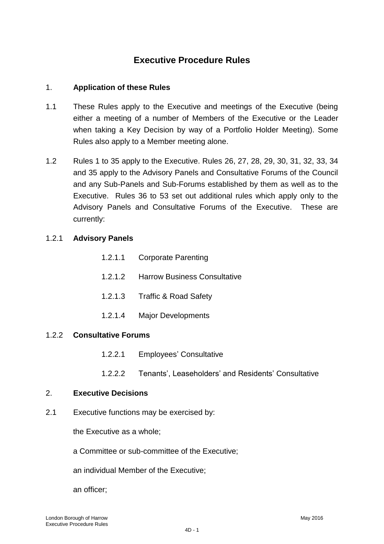# **Executive Procedure Rules**

### 1. **Application of these Rules**

- 1.1 These Rules apply to the Executive and meetings of the Executive (being either a meeting of a number of Members of the Executive or the Leader when taking a Key Decision by way of a Portfolio Holder Meeting). Some Rules also apply to a Member meeting alone.
- 1.2 Rules 1 to 35 apply to the Executive. Rules 26, 27, 28, 29, 30, 31, 32, 33, 34 and 35 apply to the Advisory Panels and Consultative Forums of the Council and any Sub-Panels and Sub-Forums established by them as well as to the Executive. Rules 36 to 53 set out additional rules which apply only to the Advisory Panels and Consultative Forums of the Executive. These are currently:

### 1.2.1 **Advisory Panels**

| 1.2.1.1 | <b>Corporate Parenting</b> |
|---------|----------------------------|
|---------|----------------------------|

- 1.2.1.2 Harrow Business Consultative
- 1.2.1.3 Traffic & Road Safety
- 1.2.1.4 Major Developments

## 1.2.2 **Consultative Forums**

- 1.2.2.1 Employees" Consultative
- 1.2.2.2 Tenants", Leaseholders" and Residents" Consultative

#### 2. **Executive Decisions**

2.1 Executive functions may be exercised by:

the Executive as a whole;

a Committee or sub-committee of the Executive;

an individual Member of the Executive;

an officer;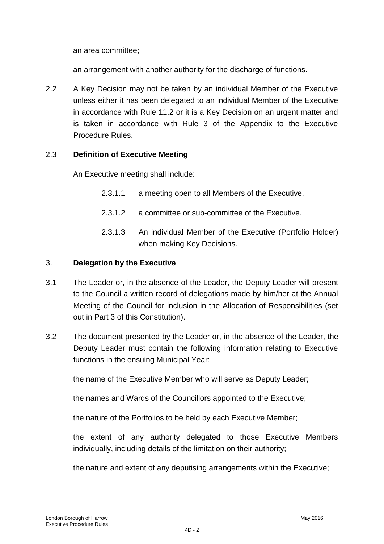an area committee;

an arrangement with another authority for the discharge of functions.

2.2 A Key Decision may not be taken by an individual Member of the Executive unless either it has been delegated to an individual Member of the Executive in accordance with Rule 11.2 or it is a Key Decision on an urgent matter and is taken in accordance with Rule 3 of the Appendix to the Executive Procedure Rules.

### 2.3 **Definition of Executive Meeting**

An Executive meeting shall include:

- 2.3.1.1 a meeting open to all Members of the Executive.
- 2.3.1.2 a committee or sub-committee of the Executive.
- 2.3.1.3 An individual Member of the Executive (Portfolio Holder) when making Key Decisions.

#### 3. **Delegation by the Executive**

- 3.1 The Leader or, in the absence of the Leader, the Deputy Leader will present to the Council a written record of delegations made by him/her at the Annual Meeting of the Council for inclusion in the Allocation of Responsibilities (set out in Part 3 of this Constitution).
- 3.2 The document presented by the Leader or, in the absence of the Leader, the Deputy Leader must contain the following information relating to Executive functions in the ensuing Municipal Year:

the name of the Executive Member who will serve as Deputy Leader;

the names and Wards of the Councillors appointed to the Executive;

the nature of the Portfolios to be held by each Executive Member;

the extent of any authority delegated to those Executive Members individually, including details of the limitation on their authority;

the nature and extent of any deputising arrangements within the Executive;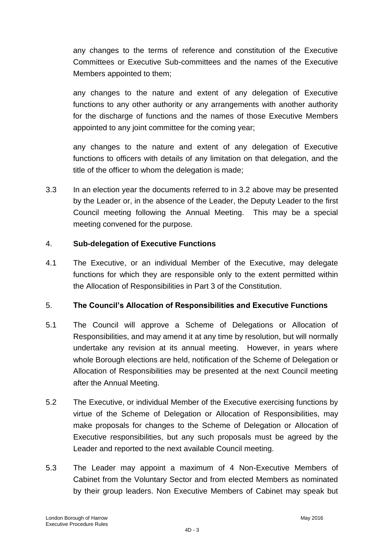any changes to the terms of reference and constitution of the Executive Committees or Executive Sub-committees and the names of the Executive Members appointed to them;

any changes to the nature and extent of any delegation of Executive functions to any other authority or any arrangements with another authority for the discharge of functions and the names of those Executive Members appointed to any joint committee for the coming year;

any changes to the nature and extent of any delegation of Executive functions to officers with details of any limitation on that delegation, and the title of the officer to whom the delegation is made;

3.3 In an election year the documents referred to in 3.2 above may be presented by the Leader or, in the absence of the Leader, the Deputy Leader to the first Council meeting following the Annual Meeting. This may be a special meeting convened for the purpose.

## 4. **Sub-delegation of Executive Functions**

4.1 The Executive, or an individual Member of the Executive, may delegate functions for which they are responsible only to the extent permitted within the Allocation of Responsibilities in Part 3 of the Constitution.

## 5. **The Council's Allocation of Responsibilities and Executive Functions**

- 5.1 The Council will approve a Scheme of Delegations or Allocation of Responsibilities, and may amend it at any time by resolution, but will normally undertake any revision at its annual meeting. However, in years where whole Borough elections are held, notification of the Scheme of Delegation or Allocation of Responsibilities may be presented at the next Council meeting after the Annual Meeting.
- 5.2 The Executive, or individual Member of the Executive exercising functions by virtue of the Scheme of Delegation or Allocation of Responsibilities, may make proposals for changes to the Scheme of Delegation or Allocation of Executive responsibilities, but any such proposals must be agreed by the Leader and reported to the next available Council meeting.
- 5.3 The Leader may appoint a maximum of 4 Non-Executive Members of Cabinet from the Voluntary Sector and from elected Members as nominated by their group leaders. Non Executive Members of Cabinet may speak but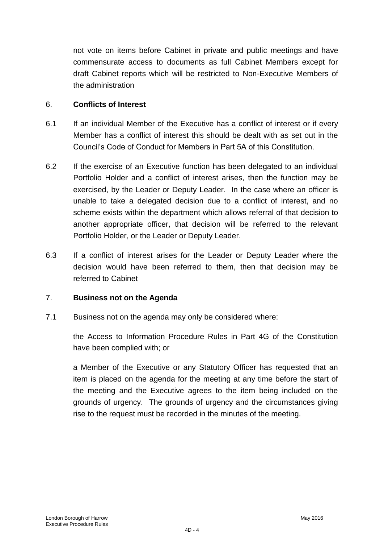not vote on items before Cabinet in private and public meetings and have commensurate access to documents as full Cabinet Members except for draft Cabinet reports which will be restricted to Non-Executive Members of the administration

#### 6. **Conflicts of Interest**

- 6.1 If an individual Member of the Executive has a conflict of interest or if every Member has a conflict of interest this should be dealt with as set out in the Council"s Code of Conduct for Members in Part 5A of this Constitution.
- 6.2 If the exercise of an Executive function has been delegated to an individual Portfolio Holder and a conflict of interest arises, then the function may be exercised, by the Leader or Deputy Leader. In the case where an officer is unable to take a delegated decision due to a conflict of interest, and no scheme exists within the department which allows referral of that decision to another appropriate officer, that decision will be referred to the relevant Portfolio Holder, or the Leader or Deputy Leader.
- 6.3 If a conflict of interest arises for the Leader or Deputy Leader where the decision would have been referred to them, then that decision may be referred to Cabinet

### 7. **Business not on the Agenda**

7.1 Business not on the agenda may only be considered where:

the Access to Information Procedure Rules in Part 4G of the Constitution have been complied with; or

a Member of the Executive or any Statutory Officer has requested that an item is placed on the agenda for the meeting at any time before the start of the meeting and the Executive agrees to the item being included on the grounds of urgency. The grounds of urgency and the circumstances giving rise to the request must be recorded in the minutes of the meeting.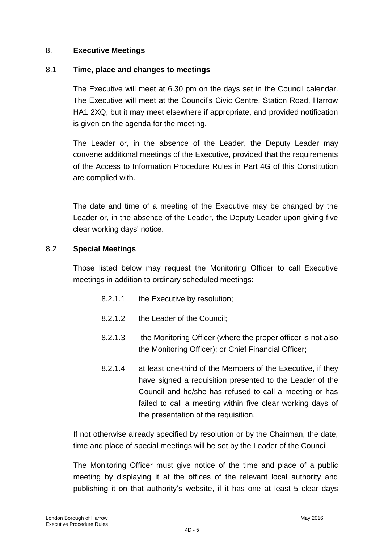### 8. **Executive Meetings**

### 8.1 **Time, place and changes to meetings**

The Executive will meet at 6.30 pm on the days set in the Council calendar. The Executive will meet at the Council"s Civic Centre, Station Road, Harrow HA1 2XQ, but it may meet elsewhere if appropriate, and provided notification is given on the agenda for the meeting.

The Leader or, in the absence of the Leader, the Deputy Leader may convene additional meetings of the Executive, provided that the requirements of the Access to Information Procedure Rules in Part 4G of this Constitution are complied with.

The date and time of a meeting of the Executive may be changed by the Leader or, in the absence of the Leader, the Deputy Leader upon giving five clear working days' notice.

### 8.2 **Special Meetings**

Those listed below may request the Monitoring Officer to call Executive meetings in addition to ordinary scheduled meetings:

- 8.2.1.1 the Executive by resolution;
- 8.2.1.2 the Leader of the Council;
- 8.2.1.3 the Monitoring Officer (where the proper officer is not also the Monitoring Officer); or Chief Financial Officer;
- 8.2.1.4 at least one-third of the Members of the Executive, if they have signed a requisition presented to the Leader of the Council and he/she has refused to call a meeting or has failed to call a meeting within five clear working days of the presentation of the requisition.

If not otherwise already specified by resolution or by the Chairman, the date, time and place of special meetings will be set by the Leader of the Council.

The Monitoring Officer must give notice of the time and place of a public meeting by displaying it at the offices of the relevant local authority and publishing it on that authority"s website, if it has one at least 5 clear days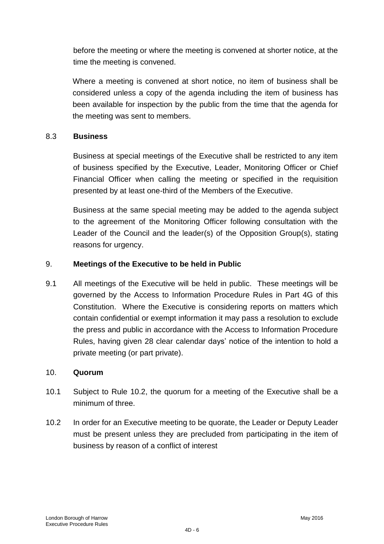before the meeting or where the meeting is convened at shorter notice, at the time the meeting is convened.

Where a meeting is convened at short notice, no item of business shall be considered unless a copy of the agenda including the item of business has been available for inspection by the public from the time that the agenda for the meeting was sent to members.

### 8.3 **Business**

Business at special meetings of the Executive shall be restricted to any item of business specified by the Executive, Leader, Monitoring Officer or Chief Financial Officer when calling the meeting or specified in the requisition presented by at least one-third of the Members of the Executive.

Business at the same special meeting may be added to the agenda subject to the agreement of the Monitoring Officer following consultation with the Leader of the Council and the leader(s) of the Opposition Group(s), stating reasons for urgency.

### 9. **Meetings of the Executive to be held in Public**

9.1 All meetings of the Executive will be held in public. These meetings will be governed by the Access to Information Procedure Rules in Part 4G of this Constitution. Where the Executive is considering reports on matters which contain confidential or exempt information it may pass a resolution to exclude the press and public in accordance with the Access to Information Procedure Rules, having given 28 clear calendar days" notice of the intention to hold a private meeting (or part private).

#### 10. **Quorum**

- 10.1 Subject to Rule 10.2, the quorum for a meeting of the Executive shall be a minimum of three.
- 10.2 In order for an Executive meeting to be quorate, the Leader or Deputy Leader must be present unless they are precluded from participating in the item of business by reason of a conflict of interest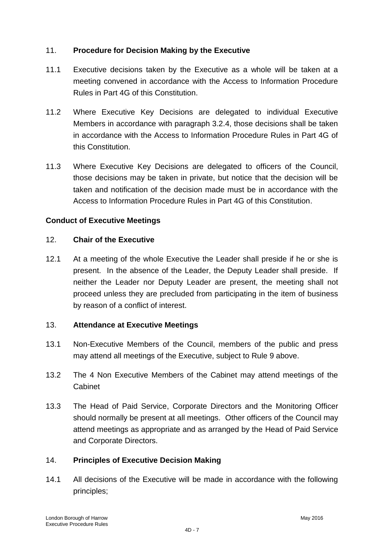## 11. **Procedure for Decision Making by the Executive**

- 11.1 Executive decisions taken by the Executive as a whole will be taken at a meeting convened in accordance with the Access to Information Procedure Rules in Part 4G of this Constitution.
- 11.2 Where Executive Key Decisions are delegated to individual Executive Members in accordance with paragraph 3.2.4, those decisions shall be taken in accordance with the Access to Information Procedure Rules in Part 4G of this Constitution.
- 11.3 Where Executive Key Decisions are delegated to officers of the Council, those decisions may be taken in private, but notice that the decision will be taken and notification of the decision made must be in accordance with the Access to Information Procedure Rules in Part 4G of this Constitution.

### **Conduct of Executive Meetings**

#### 12. **Chair of the Executive**

12.1 At a meeting of the whole Executive the Leader shall preside if he or she is present. In the absence of the Leader, the Deputy Leader shall preside. If neither the Leader nor Deputy Leader are present, the meeting shall not proceed unless they are precluded from participating in the item of business by reason of a conflict of interest.

#### 13. **Attendance at Executive Meetings**

- 13.1 Non-Executive Members of the Council, members of the public and press may attend all meetings of the Executive, subject to Rule 9 above.
- 13.2 The 4 Non Executive Members of the Cabinet may attend meetings of the Cabinet
- 13.3 The Head of Paid Service, Corporate Directors and the Monitoring Officer should normally be present at all meetings. Other officers of the Council may attend meetings as appropriate and as arranged by the Head of Paid Service and Corporate Directors.

#### 14. **Principles of Executive Decision Making**

14.1 All decisions of the Executive will be made in accordance with the following principles;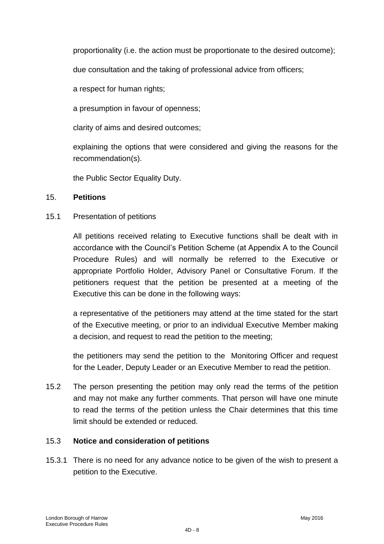proportionality (i.e. the action must be proportionate to the desired outcome);

due consultation and the taking of professional advice from officers;

a respect for human rights;

a presumption in favour of openness;

clarity of aims and desired outcomes;

explaining the options that were considered and giving the reasons for the recommendation(s).

the Public Sector Equality Duty.

#### 15. **Petitions**

15.1 Presentation of petitions

All petitions received relating to Executive functions shall be dealt with in accordance with the Council"s Petition Scheme (at Appendix A to the Council Procedure Rules) and will normally be referred to the Executive or appropriate Portfolio Holder, Advisory Panel or Consultative Forum. If the petitioners request that the petition be presented at a meeting of the Executive this can be done in the following ways:

a representative of the petitioners may attend at the time stated for the start of the Executive meeting, or prior to an individual Executive Member making a decision, and request to read the petition to the meeting;

the petitioners may send the petition to the Monitoring Officer and request for the Leader, Deputy Leader or an Executive Member to read the petition.

15.2 The person presenting the petition may only read the terms of the petition and may not make any further comments. That person will have one minute to read the terms of the petition unless the Chair determines that this time limit should be extended or reduced.

## 15.3 **Notice and consideration of petitions**

15.3.1 There is no need for any advance notice to be given of the wish to present a petition to the Executive.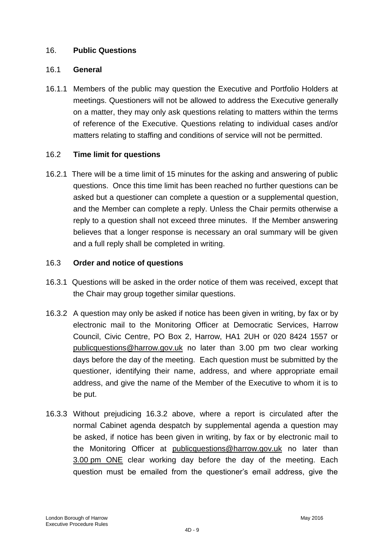#### 16. **Public Questions**

#### 16.1 **General**

16.1.1 Members of the public may question the Executive and Portfolio Holders at meetings. Questioners will not be allowed to address the Executive generally on a matter, they may only ask questions relating to matters within the terms of reference of the Executive. Questions relating to individual cases and/or matters relating to staffing and conditions of service will not be permitted.

#### 16.2 **Time limit for questions**

16.2.1 There will be a time limit of 15 minutes for the asking and answering of public questions. Once this time limit has been reached no further questions can be asked but a questioner can complete a question or a supplemental question, and the Member can complete a reply. Unless the Chair permits otherwise a reply to a question shall not exceed three minutes. If the Member answering believes that a longer response is necessary an oral summary will be given and a full reply shall be completed in writing.

#### 16.3 **Order and notice of questions**

- 16.3.1 Questions will be asked in the order notice of them was received, except that the Chair may group together similar questions.
- 16.3.2 A question may only be asked if notice has been given in writing, by fax or by electronic mail to the Monitoring Officer at Democratic Services, Harrow Council, Civic Centre, PO Box 2, Harrow, HA1 2UH or 020 8424 1557 or publicquestions@harrow.gov.uk no later than 3.00 pm two clear working days before the day of the meeting. Each question must be submitted by the questioner, identifying their name, address, and where appropriate email address, and give the name of the Member of the Executive to whom it is to be put.
- 16.3.3 Without prejudicing 16.3.2 above, where a report is circulated after the normal Cabinet agenda despatch by supplemental agenda a question may be asked, if notice has been given in writing, by fax or by electronic mail to the Monitoring Officer at [publicquestions@harrow.gov.uk](mailto:publicquestions@harrow.gov.uk) no later than 3.00 pm ONE clear working day before the day of the meeting. Each question must be emailed from the questioner"s email address, give the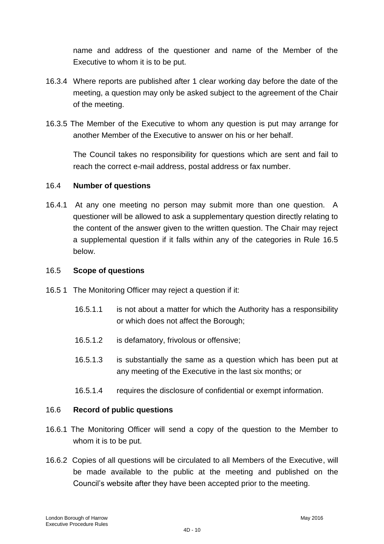name and address of the questioner and name of the Member of the Executive to whom it is to be put.

- 16.3.4 Where reports are published after 1 clear working day before the date of the meeting, a question may only be asked subject to the agreement of the Chair of the meeting.
- 16.3.5 The Member of the Executive to whom any question is put may arrange for another Member of the Executive to answer on his or her behalf.

The Council takes no responsibility for questions which are sent and fail to reach the correct e-mail address, postal address or fax number.

### 16.4 **Number of questions**

16.4.1 At any one meeting no person may submit more than one question. A questioner will be allowed to ask a supplementary question directly relating to the content of the answer given to the written question. The Chair may reject a supplemental question if it falls within any of the categories in Rule 16.5 below.

### 16.5 **Scope of questions**

- 16.5 1 The Monitoring Officer may reject a question if it:
	- 16.5.1.1 is not about a matter for which the Authority has a responsibility or which does not affect the Borough;
	- 16.5.1.2 is defamatory, frivolous or offensive;
	- 16.5.1.3 is substantially the same as a question which has been put at any meeting of the Executive in the last six months; or
	- 16.5.1.4 requires the disclosure of confidential or exempt information.

#### 16.6 **Record of public questions**

- 16.6.1 The Monitoring Officer will send a copy of the question to the Member to whom it is to be put.
- 16.6.2 Copies of all questions will be circulated to all Members of the Executive, will be made available to the public at the meeting and published on the Council"s website after they have been accepted prior to the meeting.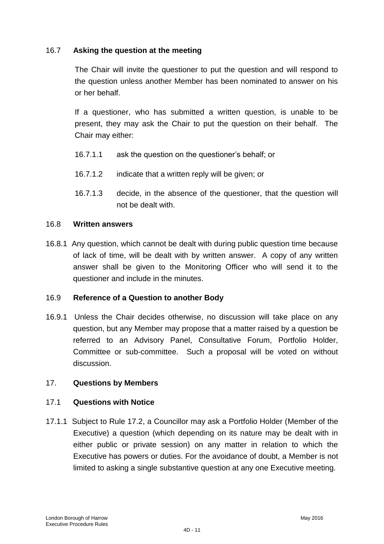### 16.7 **Asking the question at the meeting**

The Chair will invite the questioner to put the question and will respond to the question unless another Member has been nominated to answer on his or her behalf.

If a questioner, who has submitted a written question, is unable to be present, they may ask the Chair to put the question on their behalf. The Chair may either:

- 16.7.1.1 ask the question on the questioner"s behalf; or
- 16.7.1.2 indicate that a written reply will be given; or
- 16.7.1.3 decide, in the absence of the questioner, that the question will not be dealt with.

#### 16.8 **Written answers**

16.8.1 Any question, which cannot be dealt with during public question time because of lack of time, will be dealt with by written answer. A copy of any written answer shall be given to the Monitoring Officer who will send it to the questioner and include in the minutes.

#### 16.9 **Reference of a Question to another Body**

16.9.1 Unless the Chair decides otherwise, no discussion will take place on any question, but any Member may propose that a matter raised by a question be referred to an Advisory Panel, Consultative Forum, Portfolio Holder, Committee or sub-committee. Such a proposal will be voted on without discussion.

## 17. **Questions by Members**

#### 17.1 **Questions with Notice**

17.1.1 Subject to Rule 17.2, a Councillor may ask a Portfolio Holder (Member of the Executive) a question (which depending on its nature may be dealt with in either public or private session) on any matter in relation to which the Executive has powers or duties. For the avoidance of doubt, a Member is not limited to asking a single substantive question at any one Executive meeting.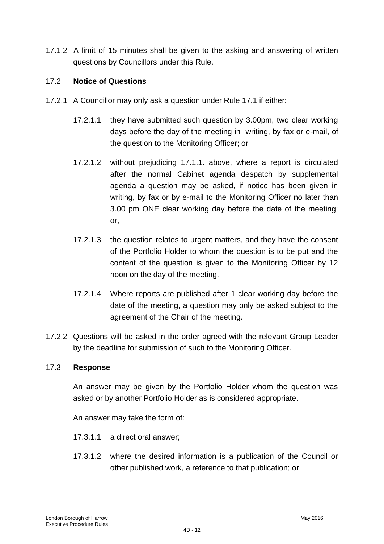17.1.2 A limit of 15 minutes shall be given to the asking and answering of written questions by Councillors under this Rule.

### 17.2 **Notice of Questions**

- 17.2.1 A Councillor may only ask a question under Rule 17.1 if either:
	- 17.2.1.1 they have submitted such question by 3.00pm, two clear working days before the day of the meeting in writing, by fax or e-mail, of the question to the Monitoring Officer; or
	- 17.2.1.2 without prejudicing 17.1.1. above, where a report is circulated after the normal Cabinet agenda despatch by supplemental agenda a question may be asked, if notice has been given in writing, by fax or by e-mail to the Monitoring Officer no later than 3.00 pm ONE clear working day before the date of the meeting; or,
	- 17.2.1.3 the question relates to urgent matters, and they have the consent of the Portfolio Holder to whom the question is to be put and the content of the question is given to the Monitoring Officer by 12 noon on the day of the meeting.
	- 17.2.1.4 Where reports are published after 1 clear working day before the date of the meeting, a question may only be asked subject to the agreement of the Chair of the meeting.
- 17.2.2 Questions will be asked in the order agreed with the relevant Group Leader by the deadline for submission of such to the Monitoring Officer.

#### 17.3 **Response**

An answer may be given by the Portfolio Holder whom the question was asked or by another Portfolio Holder as is considered appropriate.

An answer may take the form of:

- 17.3.1.1 a direct oral answer;
- 17.3.1.2 where the desired information is a publication of the Council or other published work, a reference to that publication; or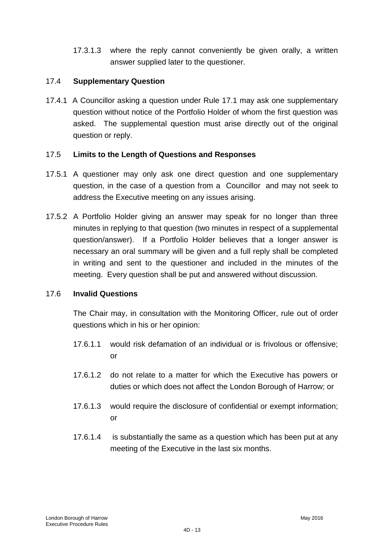17.3.1.3 where the reply cannot conveniently be given orally, a written answer supplied later to the questioner.

### 17.4 **Supplementary Question**

17.4.1 A Councillor asking a question under Rule 17.1 may ask one supplementary question without notice of the Portfolio Holder of whom the first question was asked. The supplemental question must arise directly out of the original question or reply.

### 17.5 **Limits to the Length of Questions and Responses**

- 17.5.1 A questioner may only ask one direct question and one supplementary question, in the case of a question from a Councillor and may not seek to address the Executive meeting on any issues arising.
- 17.5.2 A Portfolio Holder giving an answer may speak for no longer than three minutes in replying to that question (two minutes in respect of a supplemental question/answer). If a Portfolio Holder believes that a longer answer is necessary an oral summary will be given and a full reply shall be completed in writing and sent to the questioner and included in the minutes of the meeting. Every question shall be put and answered without discussion.

#### 17.6 **Invalid Questions**

The Chair may, in consultation with the Monitoring Officer, rule out of order questions which in his or her opinion:

- 17.6.1.1 would risk defamation of an individual or is frivolous or offensive; or
- 17.6.1.2 do not relate to a matter for which the Executive has powers or duties or which does not affect the London Borough of Harrow; or
- 17.6.1.3 would require the disclosure of confidential or exempt information; or
- 17.6.1.4 is substantially the same as a question which has been put at any meeting of the Executive in the last six months.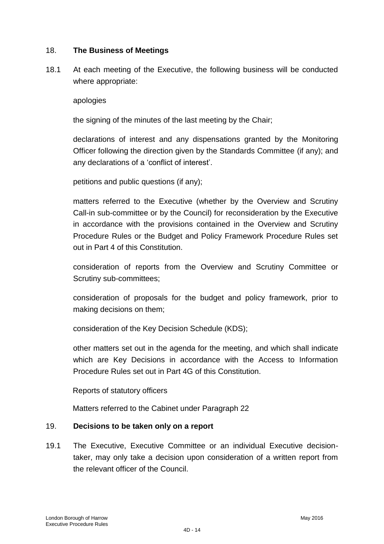#### 18. **The Business of Meetings**

18.1 At each meeting of the Executive, the following business will be conducted where appropriate:

#### apologies

the signing of the minutes of the last meeting by the Chair;

declarations of interest and any dispensations granted by the Monitoring Officer following the direction given by the Standards Committee (if any); and any declarations of a "conflict of interest".

petitions and public questions (if any);

matters referred to the Executive (whether by the Overview and Scrutiny Call-in sub-committee or by the Council) for reconsideration by the Executive in accordance with the provisions contained in the Overview and Scrutiny Procedure Rules or the Budget and Policy Framework Procedure Rules set out in Part 4 of this Constitution.

consideration of reports from the Overview and Scrutiny Committee or Scrutiny sub-committees;

consideration of proposals for the budget and policy framework, prior to making decisions on them;

consideration of the Key Decision Schedule (KDS);

other matters set out in the agenda for the meeting, and which shall indicate which are Key Decisions in accordance with the Access to Information Procedure Rules set out in Part 4G of this Constitution.

Reports of statutory officers

Matters referred to the Cabinet under Paragraph 22

#### 19. **Decisions to be taken only on a report**

19.1 The Executive, Executive Committee or an individual Executive decisiontaker, may only take a decision upon consideration of a written report from the relevant officer of the Council.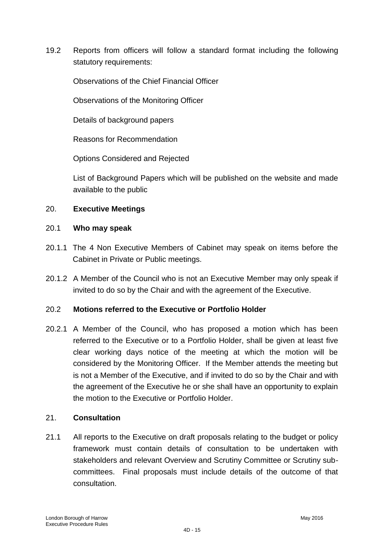19.2 Reports from officers will follow a standard format including the following statutory requirements:

Observations of the Chief Financial Officer

Observations of the Monitoring Officer

Details of background papers

Reasons for Recommendation

Options Considered and Rejected

List of Background Papers which will be published on the website and made available to the public

### 20. **Executive Meetings**

#### 20.1 **Who may speak**

- 20.1.1 The 4 Non Executive Members of Cabinet may speak on items before the Cabinet in Private or Public meetings.
- 20.1.2 A Member of the Council who is not an Executive Member may only speak if invited to do so by the Chair and with the agreement of the Executive.

#### 20.2 **Motions referred to the Executive or Portfolio Holder**

20.2.1 A Member of the Council, who has proposed a motion which has been referred to the Executive or to a Portfolio Holder, shall be given at least five clear working days notice of the meeting at which the motion will be considered by the Monitoring Officer. If the Member attends the meeting but is not a Member of the Executive, and if invited to do so by the Chair and with the agreement of the Executive he or she shall have an opportunity to explain the motion to the Executive or Portfolio Holder.

#### 21. **Consultation**

21.1 All reports to the Executive on draft proposals relating to the budget or policy framework must contain details of consultation to be undertaken with stakeholders and relevant Overview and Scrutiny Committee or Scrutiny subcommittees. Final proposals must include details of the outcome of that consultation.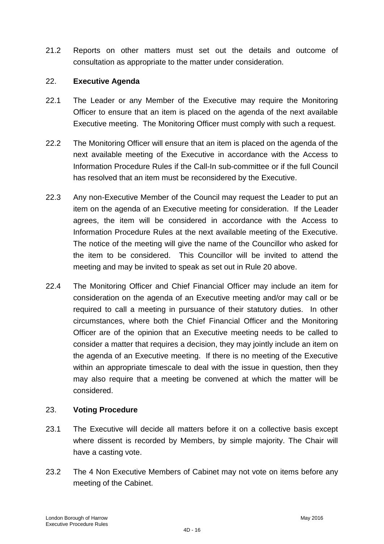21.2 Reports on other matters must set out the details and outcome of consultation as appropriate to the matter under consideration.

### 22. **Executive Agenda**

- 22.1 The Leader or any Member of the Executive may require the Monitoring Officer to ensure that an item is placed on the agenda of the next available Executive meeting. The Monitoring Officer must comply with such a request.
- 22.2 The Monitoring Officer will ensure that an item is placed on the agenda of the next available meeting of the Executive in accordance with the Access to Information Procedure Rules if the Call-In sub-committee or if the full Council has resolved that an item must be reconsidered by the Executive.
- 22.3 Any non-Executive Member of the Council may request the Leader to put an item on the agenda of an Executive meeting for consideration. If the Leader agrees, the item will be considered in accordance with the Access to Information Procedure Rules at the next available meeting of the Executive. The notice of the meeting will give the name of the Councillor who asked for the item to be considered. This Councillor will be invited to attend the meeting and may be invited to speak as set out in Rule 20 above.
- 22.4 The Monitoring Officer and Chief Financial Officer may include an item for consideration on the agenda of an Executive meeting and/or may call or be required to call a meeting in pursuance of their statutory duties. In other circumstances, where both the Chief Financial Officer and the Monitoring Officer are of the opinion that an Executive meeting needs to be called to consider a matter that requires a decision, they may jointly include an item on the agenda of an Executive meeting. If there is no meeting of the Executive within an appropriate timescale to deal with the issue in question, then they may also require that a meeting be convened at which the matter will be considered.

## 23. **Voting Procedure**

- 23.1 The Executive will decide all matters before it on a collective basis except where dissent is recorded by Members, by simple majority. The Chair will have a casting vote.
- 23.2 The 4 Non Executive Members of Cabinet may not vote on items before any meeting of the Cabinet.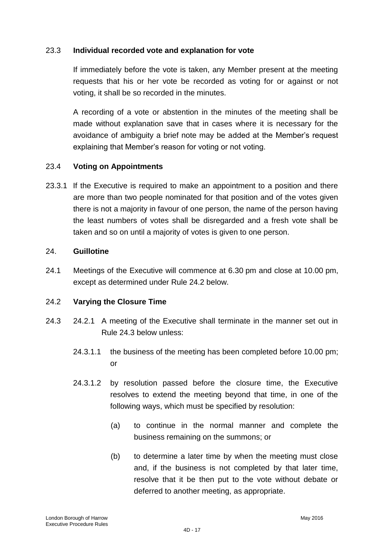#### 23.3 **Individual recorded vote and explanation for vote**

If immediately before the vote is taken, any Member present at the meeting requests that his or her vote be recorded as voting for or against or not voting, it shall be so recorded in the minutes.

A recording of a vote or abstention in the minutes of the meeting shall be made without explanation save that in cases where it is necessary for the avoidance of ambiguity a brief note may be added at the Member"s request explaining that Member's reason for voting or not voting.

### 23.4 **Voting on Appointments**

23.3.1 If the Executive is required to make an appointment to a position and there are more than two people nominated for that position and of the votes given there is not a majority in favour of one person, the name of the person having the least numbers of votes shall be disregarded and a fresh vote shall be taken and so on until a majority of votes is given to one person.

#### 24. **Guillotine**

24.1 Meetings of the Executive will commence at 6.30 pm and close at 10.00 pm, except as determined under Rule 24.2 below.

#### 24.2 **Varying the Closure Time**

- 24.3 24.2.1 A meeting of the Executive shall terminate in the manner set out in Rule 24.3 below unless:
	- 24.3.1.1 the business of the meeting has been completed before 10.00 pm; or
	- 24.3.1.2 by resolution passed before the closure time, the Executive resolves to extend the meeting beyond that time, in one of the following ways, which must be specified by resolution:
		- (a) to continue in the normal manner and complete the business remaining on the summons; or
		- (b) to determine a later time by when the meeting must close and, if the business is not completed by that later time, resolve that it be then put to the vote without debate or deferred to another meeting, as appropriate.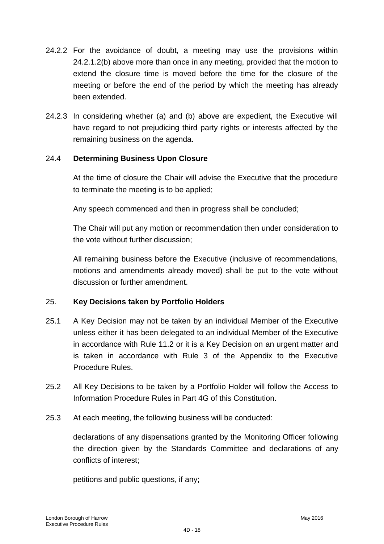- 24.2.2 For the avoidance of doubt, a meeting may use the provisions within 24.2.1.2(b) above more than once in any meeting, provided that the motion to extend the closure time is moved before the time for the closure of the meeting or before the end of the period by which the meeting has already been extended.
- 24.2.3 In considering whether (a) and (b) above are expedient, the Executive will have regard to not prejudicing third party rights or interests affected by the remaining business on the agenda.

### 24.4 **Determining Business Upon Closure**

At the time of closure the Chair will advise the Executive that the procedure to terminate the meeting is to be applied;

Any speech commenced and then in progress shall be concluded;

The Chair will put any motion or recommendation then under consideration to the vote without further discussion;

All remaining business before the Executive (inclusive of recommendations, motions and amendments already moved) shall be put to the vote without discussion or further amendment.

## 25. **Key Decisions taken by Portfolio Holders**

- 25.1 A Key Decision may not be taken by an individual Member of the Executive unless either it has been delegated to an individual Member of the Executive in accordance with Rule 11.2 or it is a Key Decision on an urgent matter and is taken in accordance with Rule 3 of the Appendix to the Executive Procedure Rules.
- 25.2 All Key Decisions to be taken by a Portfolio Holder will follow the Access to Information Procedure Rules in Part 4G of this Constitution.
- 25.3 At each meeting, the following business will be conducted:

declarations of any dispensations granted by the Monitoring Officer following the direction given by the Standards Committee and declarations of any conflicts of interest;

petitions and public questions, if any;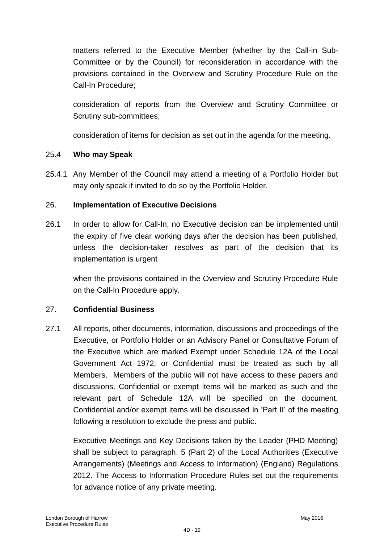matters referred to the Executive Member (whether by the Call-in Sub-Committee or by the Council) for reconsideration in accordance with the provisions contained in the Overview and Scrutiny Procedure Rule on the Call-In Procedure;

consideration of reports from the Overview and Scrutiny Committee or Scrutiny sub-committees;

consideration of items for decision as set out in the agenda for the meeting.

#### 25.4 **Who may Speak**

25.4.1 Any Member of the Council may attend a meeting of a Portfolio Holder but may only speak if invited to do so by the Portfolio Holder.

#### 26. **Implementation of Executive Decisions**

26.1 In order to allow for Call-In, no Executive decision can be implemented until the expiry of five clear working days after the decision has been published, unless the decision-taker resolves as part of the decision that its implementation is urgent

when the provisions contained in the Overview and Scrutiny Procedure Rule on the Call-In Procedure apply.

#### 27. **Confidential Business**

27.1 All reports, other documents, information, discussions and proceedings of the Executive, or Portfolio Holder or an Advisory Panel or Consultative Forum of the Executive which are marked Exempt under Schedule 12A of the Local Government Act 1972, or Confidential must be treated as such by all Members. Members of the public will not have access to these papers and discussions. Confidential or exempt items will be marked as such and the relevant part of Schedule 12A will be specified on the document. Confidential and/or exempt items will be discussed in "Part II" of the meeting following a resolution to exclude the press and public.

Executive Meetings and Key Decisions taken by the Leader (PHD Meeting) shall be subject to paragraph. 5 (Part 2) of the Local Authorities (Executive Arrangements) (Meetings and Access to Information) (England) Regulations 2012. The Access to Information Procedure Rules set out the requirements for advance notice of any private meeting.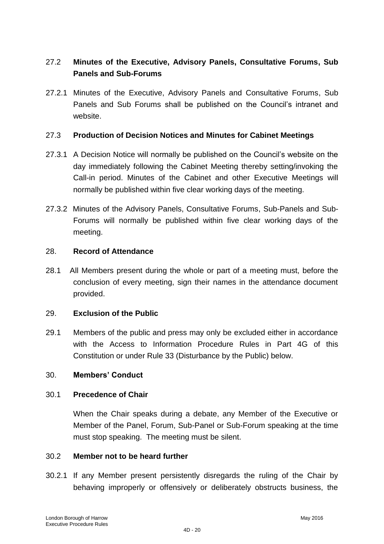# 27.2 **Minutes of the Executive, Advisory Panels, Consultative Forums, Sub Panels and Sub-Forums**

27.2.1 Minutes of the Executive, Advisory Panels and Consultative Forums, Sub Panels and Sub Forums shall be published on the Council"s intranet and website.

#### 27.3 **Production of Decision Notices and Minutes for Cabinet Meetings**

- 27.3.1 A Decision Notice will normally be published on the Council"s website on the day immediately following the Cabinet Meeting thereby setting/invoking the Call-in period. Minutes of the Cabinet and other Executive Meetings will normally be published within five clear working days of the meeting.
- 27.3.2 Minutes of the Advisory Panels, Consultative Forums, Sub-Panels and Sub-Forums will normally be published within five clear working days of the meeting.

#### 28. **Record of Attendance**

28.1 All Members present during the whole or part of a meeting must, before the conclusion of every meeting, sign their names in the attendance document provided.

#### 29. **Exclusion of the Public**

29.1 Members of the public and press may only be excluded either in accordance with the Access to Information Procedure Rules in Part 4G of this Constitution or under Rule 33 (Disturbance by the Public) below.

### 30. **Members' Conduct**

#### 30.1 **Precedence of Chair**

When the Chair speaks during a debate, any Member of the Executive or Member of the Panel, Forum, Sub-Panel or Sub-Forum speaking at the time must stop speaking. The meeting must be silent.

#### 30.2 **Member not to be heard further**

30.2.1 If any Member present persistently disregards the ruling of the Chair by behaving improperly or offensively or deliberately obstructs business, the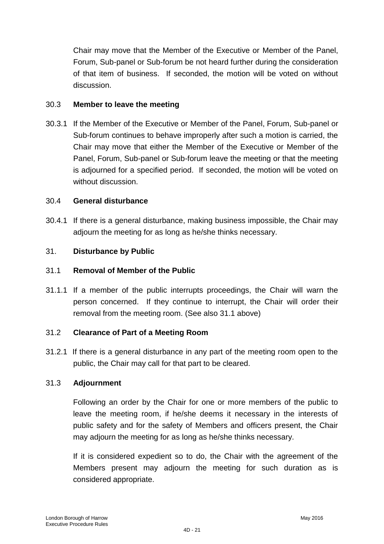Chair may move that the Member of the Executive or Member of the Panel, Forum, Sub-panel or Sub-forum be not heard further during the consideration of that item of business. If seconded, the motion will be voted on without discussion.

### 30.3 **Member to leave the meeting**

30.3.1 If the Member of the Executive or Member of the Panel, Forum, Sub-panel or Sub-forum continues to behave improperly after such a motion is carried, the Chair may move that either the Member of the Executive or Member of the Panel, Forum, Sub-panel or Sub-forum leave the meeting or that the meeting is adjourned for a specified period. If seconded, the motion will be voted on without discussion.

### 30.4 **General disturbance**

30.4.1 If there is a general disturbance, making business impossible, the Chair may adjourn the meeting for as long as he/she thinks necessary.

### 31. **Disturbance by Public**

#### 31.1 **Removal of Member of the Public**

31.1.1 If a member of the public interrupts proceedings, the Chair will warn the person concerned. If they continue to interrupt, the Chair will order their removal from the meeting room. (See also 31.1 above)

#### 31.2 **Clearance of Part of a Meeting Room**

31.2.1 If there is a general disturbance in any part of the meeting room open to the public, the Chair may call for that part to be cleared.

#### 31.3 **Adjournment**

Following an order by the Chair for one or more members of the public to leave the meeting room, if he/she deems it necessary in the interests of public safety and for the safety of Members and officers present, the Chair may adjourn the meeting for as long as he/she thinks necessary.

If it is considered expedient so to do, the Chair with the agreement of the Members present may adjourn the meeting for such duration as is considered appropriate.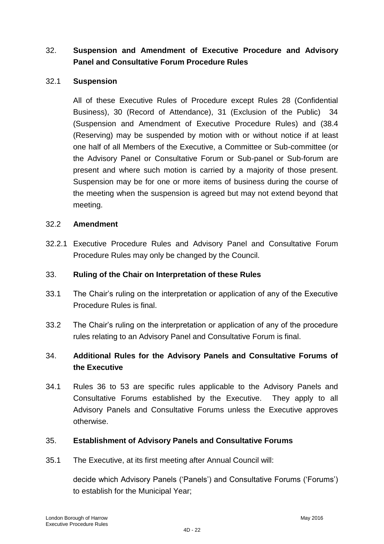# 32. **Suspension and Amendment of Executive Procedure and Advisory Panel and Consultative Forum Procedure Rules**

#### 32.1 **Suspension**

All of these Executive Rules of Procedure except Rules 28 (Confidential Business), 30 (Record of Attendance), 31 (Exclusion of the Public) 34 (Suspension and Amendment of Executive Procedure Rules) and (38.4 (Reserving) may be suspended by motion with or without notice if at least one half of all Members of the Executive, a Committee or Sub-committee (or the Advisory Panel or Consultative Forum or Sub-panel or Sub-forum are present and where such motion is carried by a majority of those present. Suspension may be for one or more items of business during the course of the meeting when the suspension is agreed but may not extend beyond that meeting.

#### 32.2 **Amendment**

32.2.1 Executive Procedure Rules and Advisory Panel and Consultative Forum Procedure Rules may only be changed by the Council.

### 33. **Ruling of the Chair on Interpretation of these Rules**

- 33.1 The Chair"s ruling on the interpretation or application of any of the Executive Procedure Rules is final.
- 33.2 The Chair"s ruling on the interpretation or application of any of the procedure rules relating to an Advisory Panel and Consultative Forum is final.

# 34. **Additional Rules for the Advisory Panels and Consultative Forums of the Executive**

34.1 Rules 36 to 53 are specific rules applicable to the Advisory Panels and Consultative Forums established by the Executive. They apply to all Advisory Panels and Consultative Forums unless the Executive approves otherwise.

## 35. **Establishment of Advisory Panels and Consultative Forums**

35.1 The Executive, at its first meeting after Annual Council will:

decide which Advisory Panels ("Panels") and Consultative Forums ("Forums") to establish for the Municipal Year;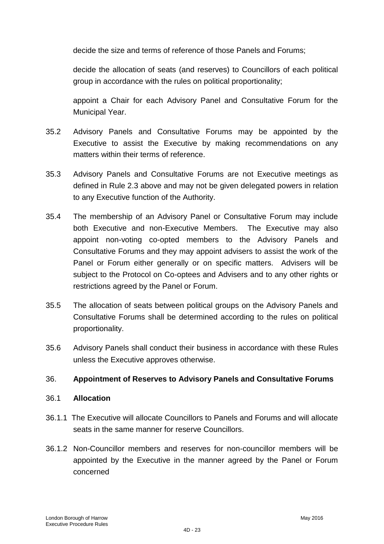decide the size and terms of reference of those Panels and Forums;

decide the allocation of seats (and reserves) to Councillors of each political group in accordance with the rules on political proportionality;

appoint a Chair for each Advisory Panel and Consultative Forum for the Municipal Year.

- 35.2 Advisory Panels and Consultative Forums may be appointed by the Executive to assist the Executive by making recommendations on any matters within their terms of reference.
- 35.3 Advisory Panels and Consultative Forums are not Executive meetings as defined in Rule 2.3 above and may not be given delegated powers in relation to any Executive function of the Authority.
- 35.4 The membership of an Advisory Panel or Consultative Forum may include both Executive and non-Executive Members. The Executive may also appoint non-voting co-opted members to the Advisory Panels and Consultative Forums and they may appoint advisers to assist the work of the Panel or Forum either generally or on specific matters. Advisers will be subject to the Protocol on Co-optees and Advisers and to any other rights or restrictions agreed by the Panel or Forum.
- 35.5 The allocation of seats between political groups on the Advisory Panels and Consultative Forums shall be determined according to the rules on political proportionality.
- 35.6 Advisory Panels shall conduct their business in accordance with these Rules unless the Executive approves otherwise.

#### 36. **Appointment of Reserves to Advisory Panels and Consultative Forums**

#### 36.1 **Allocation**

- 36.1.1 The Executive will allocate Councillors to Panels and Forums and will allocate seats in the same manner for reserve Councillors.
- 36.1.2 Non-Councillor members and reserves for non-councillor members will be appointed by the Executive in the manner agreed by the Panel or Forum concerned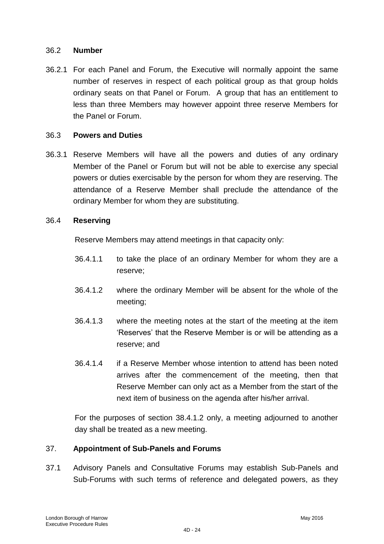#### 36.2 **Number**

36.2.1 For each Panel and Forum, the Executive will normally appoint the same number of reserves in respect of each political group as that group holds ordinary seats on that Panel or Forum. A group that has an entitlement to less than three Members may however appoint three reserve Members for the Panel or Forum.

#### 36.3 **Powers and Duties**

36.3.1 Reserve Members will have all the powers and duties of any ordinary Member of the Panel or Forum but will not be able to exercise any special powers or duties exercisable by the person for whom they are reserving. The attendance of a Reserve Member shall preclude the attendance of the ordinary Member for whom they are substituting.

#### 36.4 **Reserving**

Reserve Members may attend meetings in that capacity only:

- 36.4.1.1 to take the place of an ordinary Member for whom they are a reserve;
- 36.4.1.2 where the ordinary Member will be absent for the whole of the meeting;
- 36.4.1.3 where the meeting notes at the start of the meeting at the item 'Reserves' that the Reserve Member is or will be attending as a reserve; and
- 36.4.1.4 if a Reserve Member whose intention to attend has been noted arrives after the commencement of the meeting, then that Reserve Member can only act as a Member from the start of the next item of business on the agenda after his/her arrival.

For the purposes of section 38.4.1.2 only, a meeting adjourned to another day shall be treated as a new meeting.

#### 37. **Appointment of Sub-Panels and Forums**

37.1 Advisory Panels and Consultative Forums may establish Sub-Panels and Sub-Forums with such terms of reference and delegated powers, as they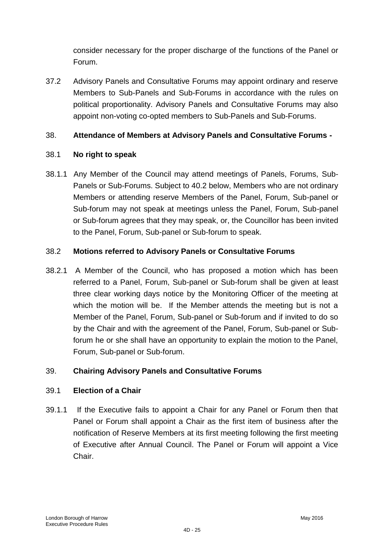consider necessary for the proper discharge of the functions of the Panel or Forum.

37.2 Advisory Panels and Consultative Forums may appoint ordinary and reserve Members to Sub-Panels and Sub-Forums in accordance with the rules on political proportionality. Advisory Panels and Consultative Forums may also appoint non-voting co-opted members to Sub-Panels and Sub-Forums.

## 38. **Attendance of Members at Advisory Panels and Consultative Forums -**

## 38.1 **No right to speak**

38.1.1 Any Member of the Council may attend meetings of Panels, Forums, Sub-Panels or Sub-Forums. Subject to 40.2 below, Members who are not ordinary Members or attending reserve Members of the Panel, Forum, Sub-panel or Sub-forum may not speak at meetings unless the Panel, Forum, Sub-panel or Sub-forum agrees that they may speak, or, the Councillor has been invited to the Panel, Forum, Sub-panel or Sub-forum to speak.

## 38.2 **Motions referred to Advisory Panels or Consultative Forums**

38.2.1 A Member of the Council, who has proposed a motion which has been referred to a Panel, Forum, Sub-panel or Sub-forum shall be given at least three clear working days notice by the Monitoring Officer of the meeting at which the motion will be. If the Member attends the meeting but is not a Member of the Panel, Forum, Sub-panel or Sub-forum and if invited to do so by the Chair and with the agreement of the Panel, Forum, Sub-panel or Subforum he or she shall have an opportunity to explain the motion to the Panel, Forum, Sub-panel or Sub-forum.

## 39. **Chairing Advisory Panels and Consultative Forums**

## 39.1 **Election of a Chair**

39.1.1 If the Executive fails to appoint a Chair for any Panel or Forum then that Panel or Forum shall appoint a Chair as the first item of business after the notification of Reserve Members at its first meeting following the first meeting of Executive after Annual Council. The Panel or Forum will appoint a Vice Chair.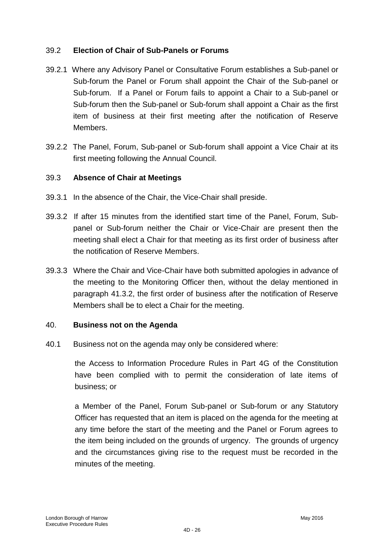### 39.2 **Election of Chair of Sub-Panels or Forums**

- 39.2.1 Where any Advisory Panel or Consultative Forum establishes a Sub-panel or Sub-forum the Panel or Forum shall appoint the Chair of the Sub-panel or Sub-forum. If a Panel or Forum fails to appoint a Chair to a Sub-panel or Sub-forum then the Sub-panel or Sub-forum shall appoint a Chair as the first item of business at their first meeting after the notification of Reserve Members.
- 39.2.2 The Panel, Forum, Sub-panel or Sub-forum shall appoint a Vice Chair at its first meeting following the Annual Council.

### 39.3 **Absence of Chair at Meetings**

- 39.3.1 In the absence of the Chair, the Vice-Chair shall preside.
- 39.3.2 If after 15 minutes from the identified start time of the Panel, Forum, Subpanel or Sub-forum neither the Chair or Vice-Chair are present then the meeting shall elect a Chair for that meeting as its first order of business after the notification of Reserve Members.
- 39.3.3 Where the Chair and Vice-Chair have both submitted apologies in advance of the meeting to the Monitoring Officer then, without the delay mentioned in paragraph 41.3.2, the first order of business after the notification of Reserve Members shall be to elect a Chair for the meeting.

#### 40. **Business not on the Agenda**

40.1 Business not on the agenda may only be considered where:

the Access to Information Procedure Rules in Part 4G of the Constitution have been complied with to permit the consideration of late items of business; or

a Member of the Panel, Forum Sub-panel or Sub-forum or any Statutory Officer has requested that an item is placed on the agenda for the meeting at any time before the start of the meeting and the Panel or Forum agrees to the item being included on the grounds of urgency. The grounds of urgency and the circumstances giving rise to the request must be recorded in the minutes of the meeting.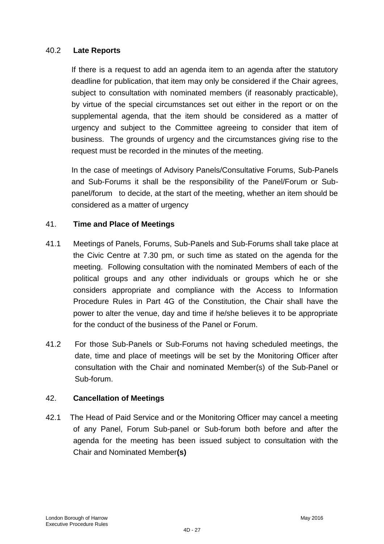### 40.2 **Late Reports**

If there is a request to add an agenda item to an agenda after the statutory deadline for publication, that item may only be considered if the Chair agrees, subject to consultation with nominated members (if reasonably practicable), by virtue of the special circumstances set out either in the report or on the supplemental agenda, that the item should be considered as a matter of urgency and subject to the Committee agreeing to consider that item of business. The grounds of urgency and the circumstances giving rise to the request must be recorded in the minutes of the meeting.

In the case of meetings of Advisory Panels/Consultative Forums, Sub-Panels and Sub-Forums it shall be the responsibility of the Panel/Forum or Subpanel/forum to decide, at the start of the meeting, whether an item should be considered as a matter of urgency

### 41. **Time and Place of Meetings**

- 41.1 Meetings of Panels, Forums, Sub-Panels and Sub-Forums shall take place at the Civic Centre at 7.30 pm, or such time as stated on the agenda for the meeting. Following consultation with the nominated Members of each of the political groups and any other individuals or groups which he or she considers appropriate and compliance with the Access to Information Procedure Rules in Part 4G of the Constitution, the Chair shall have the power to alter the venue, day and time if he/she believes it to be appropriate for the conduct of the business of the Panel or Forum.
- 41.2 For those Sub-Panels or Sub-Forums not having scheduled meetings, the date, time and place of meetings will be set by the Monitoring Officer after consultation with the Chair and nominated Member(s) of the Sub-Panel or Sub-forum.

#### 42. **Cancellation of Meetings**

42.1 The Head of Paid Service and or the Monitoring Officer may cancel a meeting of any Panel, Forum Sub-panel or Sub-forum both before and after the agenda for the meeting has been issued subject to consultation with the Chair and Nominated Member**(s)**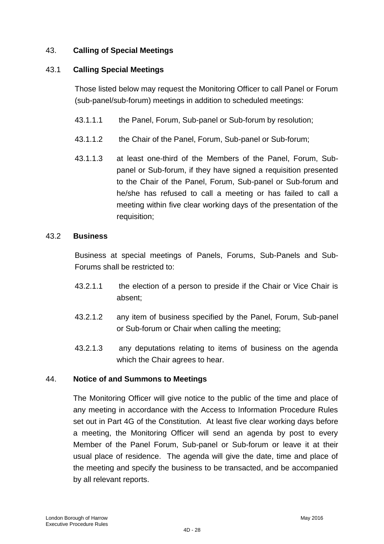## 43. **Calling of Special Meetings**

### 43.1 **Calling Special Meetings**

Those listed below may request the Monitoring Officer to call Panel or Forum (sub-panel/sub-forum) meetings in addition to scheduled meetings:

- 43.1.1.1 the Panel, Forum, Sub-panel or Sub-forum by resolution;
- 43.1.1.2 the Chair of the Panel, Forum, Sub-panel or Sub-forum;
- 43.1.1.3 at least one-third of the Members of the Panel, Forum, Subpanel or Sub-forum, if they have signed a requisition presented to the Chair of the Panel, Forum, Sub-panel or Sub-forum and he/she has refused to call a meeting or has failed to call a meeting within five clear working days of the presentation of the requisition;

### 43.2 **Business**

Business at special meetings of Panels, Forums, Sub-Panels and Sub-Forums shall be restricted to:

- 43.2.1.1 the election of a person to preside if the Chair or Vice Chair is absent;
- 43.2.1.2 any item of business specified by the Panel, Forum, Sub-panel or Sub-forum or Chair when calling the meeting;
- 43.2.1.3 any deputations relating to items of business on the agenda which the Chair agrees to hear.

## 44. **Notice of and Summons to Meetings**

The Monitoring Officer will give notice to the public of the time and place of any meeting in accordance with the Access to Information Procedure Rules set out in Part 4G of the Constitution. At least five clear working days before a meeting, the Monitoring Officer will send an agenda by post to every Member of the Panel Forum, Sub-panel or Sub-forum or leave it at their usual place of residence. The agenda will give the date, time and place of the meeting and specify the business to be transacted, and be accompanied by all relevant reports.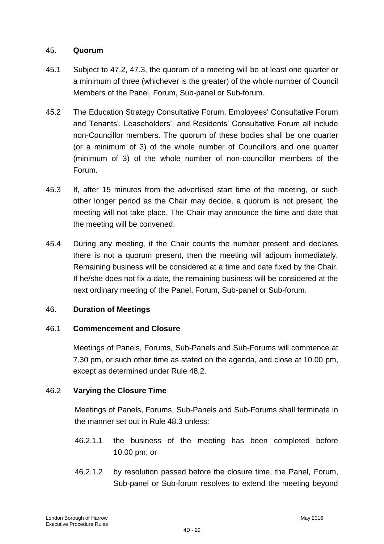### 45. **Quorum**

- 45.1 Subject to 47.2, 47.3, the quorum of a meeting will be at least one quarter or a minimum of three (whichever is the greater) of the whole number of Council Members of the Panel, Forum, Sub-panel or Sub-forum.
- 45.2 The Education Strategy Consultative Forum, Employees" Consultative Forum and Tenants', Leaseholders', and Residents' Consultative Forum all include non-Councillor members. The quorum of these bodies shall be one quarter (or a minimum of 3) of the whole number of Councillors and one quarter (minimum of 3) of the whole number of non-councillor members of the Forum.
- 45.3 If, after 15 minutes from the advertised start time of the meeting, or such other longer period as the Chair may decide, a quorum is not present, the meeting will not take place. The Chair may announce the time and date that the meeting will be convened.
- 45.4 During any meeting, if the Chair counts the number present and declares there is not a quorum present, then the meeting will adjourn immediately. Remaining business will be considered at a time and date fixed by the Chair. If he/she does not fix a date, the remaining business will be considered at the next ordinary meeting of the Panel, Forum, Sub-panel or Sub-forum.

## 46. **Duration of Meetings**

## 46.1 **Commencement and Closure**

Meetings of Panels, Forums, Sub-Panels and Sub-Forums will commence at 7.30 pm, or such other time as stated on the agenda, and close at 10.00 pm, except as determined under Rule 48.2.

#### 46.2 **Varying the Closure Time**

Meetings of Panels, Forums, Sub-Panels and Sub-Forums shall terminate in the manner set out in Rule 48.3 unless:

- 46.2.1.1 the business of the meeting has been completed before 10.00 pm; or
- 46.2.1.2 by resolution passed before the closure time, the Panel, Forum, Sub-panel or Sub-forum resolves to extend the meeting beyond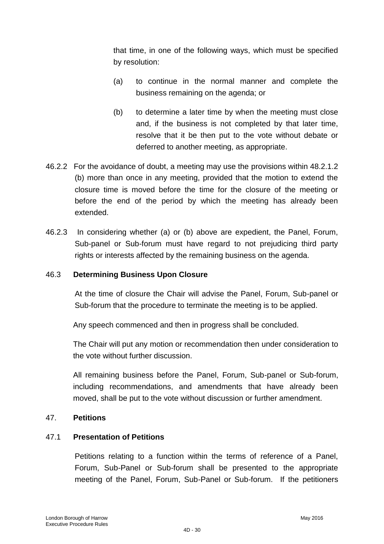that time, in one of the following ways, which must be specified by resolution:

- (a) to continue in the normal manner and complete the business remaining on the agenda; or
- (b) to determine a later time by when the meeting must close and, if the business is not completed by that later time, resolve that it be then put to the vote without debate or deferred to another meeting, as appropriate.
- 46.2.2 For the avoidance of doubt, a meeting may use the provisions within 48.2.1.2 (b) more than once in any meeting, provided that the motion to extend the closure time is moved before the time for the closure of the meeting or before the end of the period by which the meeting has already been extended.
- 46.2.3 In considering whether (a) or (b) above are expedient, the Panel, Forum, Sub-panel or Sub-forum must have regard to not prejudicing third party rights or interests affected by the remaining business on the agenda.

#### 46.3 **Determining Business Upon Closure**

At the time of closure the Chair will advise the Panel, Forum, Sub-panel or Sub-forum that the procedure to terminate the meeting is to be applied.

Any speech commenced and then in progress shall be concluded.

The Chair will put any motion or recommendation then under consideration to the vote without further discussion.

All remaining business before the Panel, Forum, Sub-panel or Sub-forum, including recommendations, and amendments that have already been moved, shall be put to the vote without discussion or further amendment.

#### 47. **Petitions**

#### 47.1 **Presentation of Petitions**

Petitions relating to a function within the terms of reference of a Panel, Forum, Sub-Panel or Sub-forum shall be presented to the appropriate meeting of the Panel, Forum, Sub-Panel or Sub-forum. If the petitioners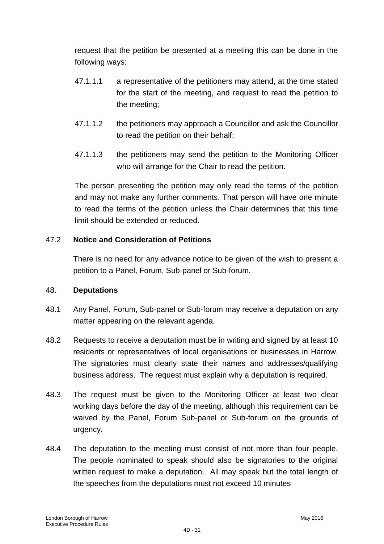request that the petition be presented at a meeting this can be done in the following ways:

- 47.1.1.1 a representative of the petitioners may attend, at the time stated for the start of the meeting, and request to read the petition to the meeting;
- 47.1.1.2 the petitioners may approach a Councillor and ask the Councillor to read the petition on their behalf;
- 47.1.1.3 the petitioners may send the petition to the Monitoring Officer who will arrange for the Chair to read the petition.

The person presenting the petition may only read the terms of the petition and may not make any further comments. That person will have one minute to read the terms of the petition unless the Chair determines that this time limit should be extended or reduced.

## 47.2 **Notice and Consideration of Petitions**

There is no need for any advance notice to be given of the wish to present a petition to a Panel, Forum, Sub-panel or Sub-forum.

## 48. **Deputations**

- 48.1 Any Panel, Forum, Sub-panel or Sub-forum may receive a deputation on any matter appearing on the relevant agenda.
- 48.2 Requests to receive a deputation must be in writing and signed by at least 10 residents or representatives of local organisations or businesses in Harrow. The signatories must clearly state their names and addresses/qualifying business address. The request must explain why a deputation is required.
- 48.3 The request must be given to the Monitoring Officer at least two clear working days before the day of the meeting, although this requirement can be waived by the Panel, Forum Sub-panel or Sub-forum on the grounds of urgency.
- 48.4 The deputation to the meeting must consist of not more than four people. The people nominated to speak should also be signatories to the original written request to make a deputation. All may speak but the total length of the speeches from the deputations must not exceed 10 minutes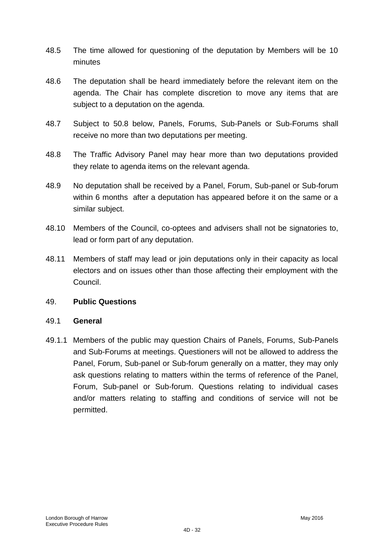- 48.5 The time allowed for questioning of the deputation by Members will be 10 minutes
- 48.6 The deputation shall be heard immediately before the relevant item on the agenda. The Chair has complete discretion to move any items that are subject to a deputation on the agenda.
- 48.7 Subject to 50.8 below, Panels, Forums, Sub-Panels or Sub-Forums shall receive no more than two deputations per meeting.
- 48.8 The Traffic Advisory Panel may hear more than two deputations provided they relate to agenda items on the relevant agenda.
- 48.9 No deputation shall be received by a Panel, Forum, Sub-panel or Sub-forum within 6 months after a deputation has appeared before it on the same or a similar subject.
- 48.10 Members of the Council, co-optees and advisers shall not be signatories to, lead or form part of any deputation.
- 48.11 Members of staff may lead or join deputations only in their capacity as local electors and on issues other than those affecting their employment with the Council.

#### 49. **Public Questions**

#### 49.1 **General**

49.1.1 Members of the public may question Chairs of Panels, Forums, Sub-Panels and Sub-Forums at meetings. Questioners will not be allowed to address the Panel, Forum, Sub-panel or Sub-forum generally on a matter, they may only ask questions relating to matters within the terms of reference of the Panel, Forum, Sub-panel or Sub-forum. Questions relating to individual cases and/or matters relating to staffing and conditions of service will not be permitted.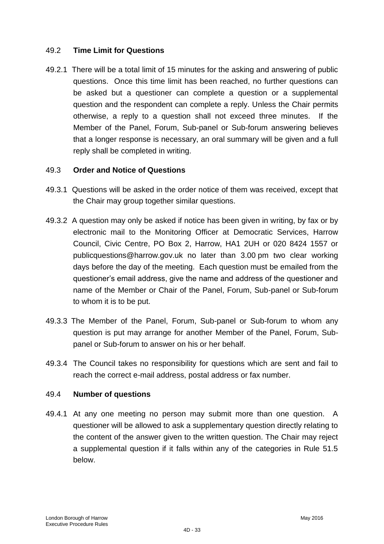### 49.2 **Time Limit for Questions**

49.2.1 There will be a total limit of 15 minutes for the asking and answering of public questions. Once this time limit has been reached, no further questions can be asked but a questioner can complete a question or a supplemental question and the respondent can complete a reply. Unless the Chair permits otherwise, a reply to a question shall not exceed three minutes. If the Member of the Panel, Forum, Sub-panel or Sub-forum answering believes that a longer response is necessary, an oral summary will be given and a full reply shall be completed in writing.

#### 49.3 **Order and Notice of Questions**

- 49.3.1 Questions will be asked in the order notice of them was received, except that the Chair may group together similar questions.
- 49.3.2 A question may only be asked if notice has been given in writing, by fax or by electronic mail to the Monitoring Officer at Democratic Services, Harrow Council, Civic Centre, PO Box 2, Harrow, HA1 2UH or 020 8424 1557 or publicquestions@harrow.gov.uk no later than 3.00 pm two clear working days before the day of the meeting. Each question must be emailed from the questioner"s email address, give the name and address of the questioner and name of the Member or Chair of the Panel, Forum, Sub-panel or Sub-forum to whom it is to be put.
- 49.3.3 The Member of the Panel, Forum, Sub-panel or Sub-forum to whom any question is put may arrange for another Member of the Panel, Forum, Subpanel or Sub-forum to answer on his or her behalf.
- 49.3.4 The Council takes no responsibility for questions which are sent and fail to reach the correct e-mail address, postal address or fax number.

#### 49.4 **Number of questions**

49.4.1 At any one meeting no person may submit more than one question. A questioner will be allowed to ask a supplementary question directly relating to the content of the answer given to the written question. The Chair may reject a supplemental question if it falls within any of the categories in Rule 51.5 below.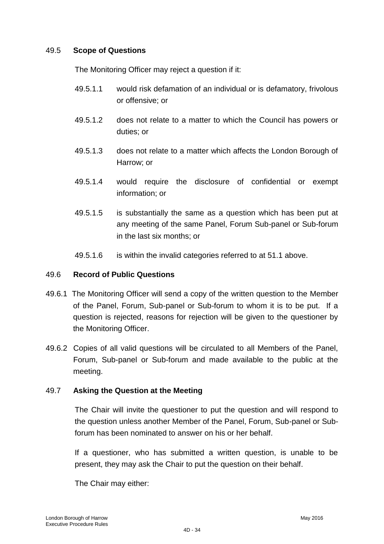### 49.5 **Scope of Questions**

The Monitoring Officer may reject a question if it:

- 49.5.1.1 would risk defamation of an individual or is defamatory, frivolous or offensive; or
- 49.5.1.2 does not relate to a matter to which the Council has powers or duties; or
- 49.5.1.3 does not relate to a matter which affects the London Borough of Harrow; or
- 49.5.1.4 would require the disclosure of confidential or exempt information; or
- 49.5.1.5 is substantially the same as a question which has been put at any meeting of the same Panel, Forum Sub-panel or Sub-forum in the last six months; or
- 49.5.1.6 is within the invalid categories referred to at 51.1 above.

#### 49.6 **Record of Public Questions**

- 49.6.1 The Monitoring Officer will send a copy of the written question to the Member of the Panel, Forum, Sub-panel or Sub-forum to whom it is to be put. If a question is rejected, reasons for rejection will be given to the questioner by the Monitoring Officer.
- 49.6.2 Copies of all valid questions will be circulated to all Members of the Panel, Forum, Sub-panel or Sub-forum and made available to the public at the meeting.

## 49.7 **Asking the Question at the Meeting**

The Chair will invite the questioner to put the question and will respond to the question unless another Member of the Panel, Forum, Sub-panel or Subforum has been nominated to answer on his or her behalf.

If a questioner, who has submitted a written question, is unable to be present, they may ask the Chair to put the question on their behalf.

The Chair may either: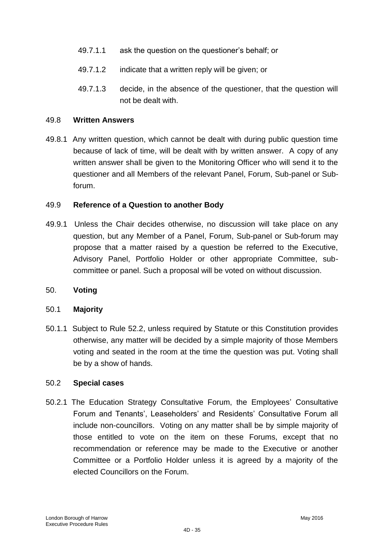- 49.7.1.1 ask the question on the questioner"s behalf; or
- 49.7.1.2 indicate that a written reply will be given; or
- 49.7.1.3 decide, in the absence of the questioner, that the question will not be dealt with.

#### 49.8 **Written Answers**

49.8.1 Any written question, which cannot be dealt with during public question time because of lack of time, will be dealt with by written answer. A copy of any written answer shall be given to the Monitoring Officer who will send it to the questioner and all Members of the relevant Panel, Forum, Sub-panel or Subforum.

#### 49.9 **Reference of a Question to another Body**

49.9.1 Unless the Chair decides otherwise, no discussion will take place on any question, but any Member of a Panel, Forum, Sub-panel or Sub-forum may propose that a matter raised by a question be referred to the Executive, Advisory Panel, Portfolio Holder or other appropriate Committee, subcommittee or panel. Such a proposal will be voted on without discussion.

#### 50. **Voting**

#### 50.1 **Majority**

50.1.1 Subject to Rule 52.2, unless required by Statute or this Constitution provides otherwise, any matter will be decided by a simple majority of those Members voting and seated in the room at the time the question was put. Voting shall be by a show of hands.

#### 50.2 **Special cases**

50.2.1 The Education Strategy Consultative Forum, the Employees" Consultative Forum and Tenants', Leaseholders' and Residents' Consultative Forum all include non-councillors. Voting on any matter shall be by simple majority of those entitled to vote on the item on these Forums, except that no recommendation or reference may be made to the Executive or another Committee or a Portfolio Holder unless it is agreed by a majority of the elected Councillors on the Forum.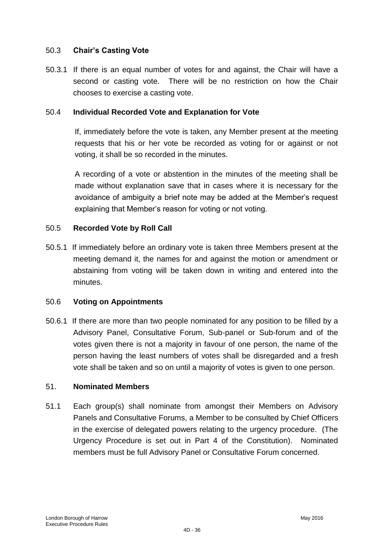### 50.3 **Chair's Casting Vote**

50.3.1 If there is an equal number of votes for and against, the Chair will have a second or casting vote. There will be no restriction on how the Chair chooses to exercise a casting vote.

#### 50.4 **Individual Recorded Vote and Explanation for Vote**

If, immediately before the vote is taken, any Member present at the meeting requests that his or her vote be recorded as voting for or against or not voting, it shall be so recorded in the minutes.

A recording of a vote or abstention in the minutes of the meeting shall be made without explanation save that in cases where it is necessary for the avoidance of ambiguity a brief note may be added at the Member"s request explaining that Member's reason for voting or not voting.

#### 50.5 **Recorded Vote by Roll Call**

50.5.1 If immediately before an ordinary vote is taken three Members present at the meeting demand it, the names for and against the motion or amendment or abstaining from voting will be taken down in writing and entered into the minutes.

#### 50.6 **Voting on Appointments**

50.6.1 If there are more than two people nominated for any position to be filled by a Advisory Panel, Consultative Forum, Sub-panel or Sub-forum and of the votes given there is not a majority in favour of one person, the name of the person having the least numbers of votes shall be disregarded and a fresh vote shall be taken and so on until a majority of votes is given to one person.

#### 51. **Nominated Members**

51.1 Each group(s) shall nominate from amongst their Members on Advisory Panels and Consultative Forums, a Member to be consulted by Chief Officers in the exercise of delegated powers relating to the urgency procedure. (The Urgency Procedure is set out in Part 4 of the Constitution). Nominated members must be full Advisory Panel or Consultative Forum concerned.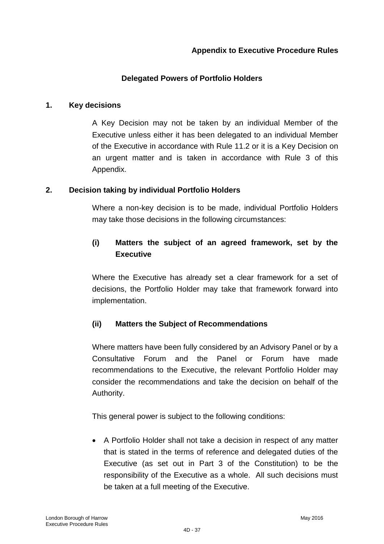### **Delegated Powers of Portfolio Holders**

#### **1. Key decisions**

A Key Decision may not be taken by an individual Member of the Executive unless either it has been delegated to an individual Member of the Executive in accordance with Rule 11.2 or it is a Key Decision on an urgent matter and is taken in accordance with Rule 3 of this Appendix.

### **2. Decision taking by individual Portfolio Holders**

Where a non-key decision is to be made, individual Portfolio Holders may take those decisions in the following circumstances:

# **(i) Matters the subject of an agreed framework, set by the Executive**

Where the Executive has already set a clear framework for a set of decisions, the Portfolio Holder may take that framework forward into implementation.

## **(ii) Matters the Subject of Recommendations**

Where matters have been fully considered by an Advisory Panel or by a Consultative Forum and the Panel or Forum have made recommendations to the Executive, the relevant Portfolio Holder may consider the recommendations and take the decision on behalf of the Authority.

This general power is subject to the following conditions:

 A Portfolio Holder shall not take a decision in respect of any matter that is stated in the terms of reference and delegated duties of the Executive (as set out in Part 3 of the Constitution) to be the responsibility of the Executive as a whole. All such decisions must be taken at a full meeting of the Executive.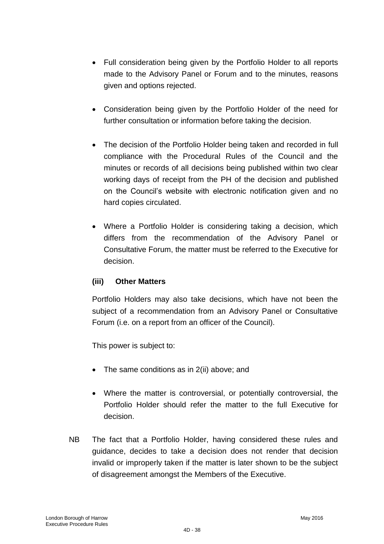- Full consideration being given by the Portfolio Holder to all reports made to the Advisory Panel or Forum and to the minutes, reasons given and options rejected.
- Consideration being given by the Portfolio Holder of the need for further consultation or information before taking the decision.
- The decision of the Portfolio Holder being taken and recorded in full compliance with the Procedural Rules of the Council and the minutes or records of all decisions being published within two clear working days of receipt from the PH of the decision and published on the Council"s website with electronic notification given and no hard copies circulated.
- Where a Portfolio Holder is considering taking a decision, which differs from the recommendation of the Advisory Panel or Consultative Forum, the matter must be referred to the Executive for decision.

## **(iii) Other Matters**

Portfolio Holders may also take decisions, which have not been the subject of a recommendation from an Advisory Panel or Consultative Forum (i.e. on a report from an officer of the Council).

This power is subject to:

- The same conditions as in 2(ii) above; and
- Where the matter is controversial, or potentially controversial, the Portfolio Holder should refer the matter to the full Executive for decision.
- NB The fact that a Portfolio Holder, having considered these rules and guidance, decides to take a decision does not render that decision invalid or improperly taken if the matter is later shown to be the subject of disagreement amongst the Members of the Executive.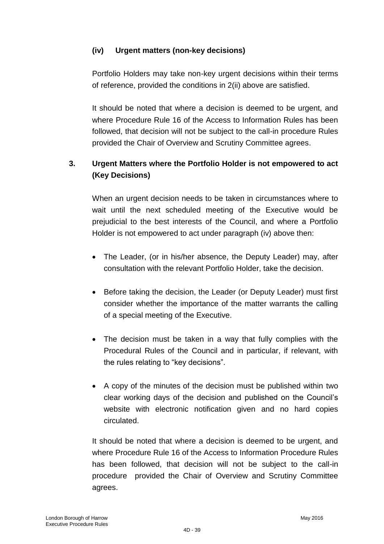## **(iv) Urgent matters (non-key decisions)**

Portfolio Holders may take non-key urgent decisions within their terms of reference, provided the conditions in 2(ii) above are satisfied.

It should be noted that where a decision is deemed to be urgent, and where Procedure Rule 16 of the Access to Information Rules has been followed, that decision will not be subject to the call-in procedure Rules provided the Chair of Overview and Scrutiny Committee agrees.

# **3. Urgent Matters where the Portfolio Holder is not empowered to act (Key Decisions)**

When an urgent decision needs to be taken in circumstances where to wait until the next scheduled meeting of the Executive would be prejudicial to the best interests of the Council, and where a Portfolio Holder is not empowered to act under paragraph (iv) above then:

- The Leader, (or in his/her absence, the Deputy Leader) may, after consultation with the relevant Portfolio Holder, take the decision.
- Before taking the decision, the Leader (or Deputy Leader) must first consider whether the importance of the matter warrants the calling of a special meeting of the Executive.
- The decision must be taken in a way that fully complies with the Procedural Rules of the Council and in particular, if relevant, with the rules relating to "key decisions".
- A copy of the minutes of the decision must be published within two clear working days of the decision and published on the Council"s website with electronic notification given and no hard copies circulated.

It should be noted that where a decision is deemed to be urgent, and where Procedure Rule 16 of the Access to Information Procedure Rules has been followed, that decision will not be subject to the call-in procedure provided the Chair of Overview and Scrutiny Committee agrees.